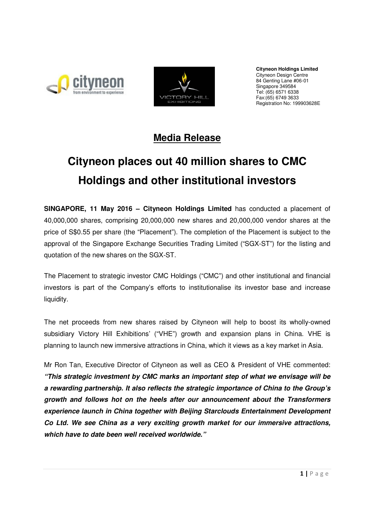



**Cityneon Holdings Limited** Cityneon Design Centre 84 Genting Lane #06-01 Singapore 349584 Tel: (65) 6571 6338 Fax:(65) 6749 3633 Registration No: 199903628E

## **Media Release**

# **Cityneon places out 40 million shares to CMC Holdings and other institutional investors**

**SINGAPORE, 11 May 2016 – Cityneon Holdings Limited** has conducted a placement of 40,000,000 shares, comprising 20,000,000 new shares and 20,000,000 vendor shares at the price of S\$0.55 per share (the "Placement"). The completion of the Placement is subject to the approval of the Singapore Exchange Securities Trading Limited ("SGX-ST") for the listing and quotation of the new shares on the SGX-ST.

The Placement to strategic investor CMC Holdings ("CMC") and other institutional and financial investors is part of the Company's efforts to institutionalise its investor base and increase liquidity.

The net proceeds from new shares raised by Cityneon will help to boost its wholly-owned subsidiary Victory Hill Exhibitions' ("VHE") growth and expansion plans in China. VHE is planning to launch new immersive attractions in China, which it views as a key market in Asia.

Mr Ron Tan, Executive Director of Cityneon as well as CEO & President of VHE commented: **"This strategic investment by CMC marks an important step of what we envisage will be a rewarding partnership. It also reflects the strategic importance of China to the Group's growth and follows hot on the heels after our announcement about the Transformers experience launch in China together with Beijing Starclouds Entertainment Development Co Ltd. We see China as a very exciting growth market for our immersive attractions, which have to date been well received worldwide."**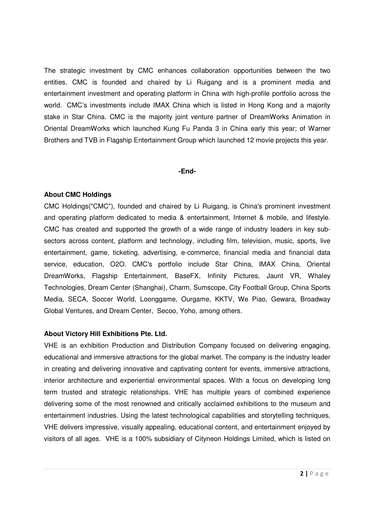The strategic investment by CMC enhances collaboration opportunities between the two entities. CMC is founded and chaired by Li Ruigang and is a prominent media and entertainment investment and operating platform in China with high-profile portfolio across the world. CMC's investments include IMAX China which is listed in Hong Kong and a majority stake in Star China. CMC is the majority joint venture partner of DreamWorks Animation in Oriental DreamWorks which launched Kung Fu Panda 3 in China early this year; of Warner Brothers and TVB in Flagship Entertainment Group which launched 12 movie projects this year.

#### **-End-**

#### **About CMC Holdings**

CMC Holdings("CMC"), founded and chaired by Li Ruigang, is China's prominent investment and operating platform dedicated to media & entertainment, Internet & mobile, and lifestyle. CMC has created and supported the growth of a wide range of industry leaders in key subsectors across content, platform and technology, including film, television, music, sports, live entertainment, game, ticketing, advertising, e-commerce, financial media and financial data service, education, O2O. CMC's portfolio include Star China, IMAX China, Oriental DreamWorks, Flagship Entertainment, BaseFX, Infinity Pictures, Jaunt VR, Whaley Technologies, Dream Center (Shanghai), Charm, Sumscope, City Football Group, China Sports Media, SECA, Soccer World, Loonggame, Ourgame, KKTV, We Piao, Gewara, Broadway Global Ventures, and Dream Center, Secoo, Yoho, among others.

#### **About Victory Hill Exhibitions Pte. Ltd.**

VHE is an exhibition Production and Distribution Company focused on delivering engaging, educational and immersive attractions for the global market. The company is the industry leader in creating and delivering innovative and captivating content for events, immersive attractions, interior architecture and experiential environmental spaces. With a focus on developing long term trusted and strategic relationships. VHE has multiple years of combined experience delivering some of the most renowned and critically acclaimed exhibitions to the museum and entertainment industries. Using the latest technological capabilities and storytelling techniques, VHE delivers impressive, visually appealing, educational content, and entertainment enjoyed by visitors of all ages. VHE is a 100% subsidiary of Cityneon Holdings Limited, which is listed on